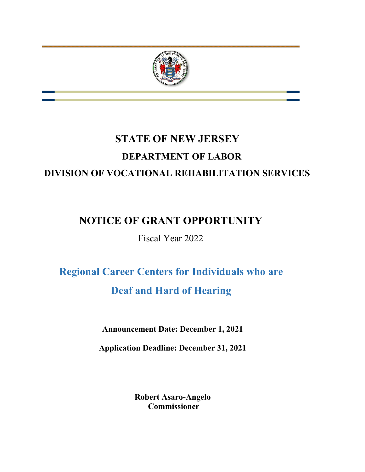

# **STATE OF NEW JERSEY DEPARTMENT OF LABOR DIVISION OF VOCATIONAL REHABILITATION SERVICES**

## **NOTICE OF GRANT OPPORTUNITY**

Fiscal Year 2022

# **Regional Career Centers for Individuals who are Deaf and Hard of Hearing**

**Announcement Date: December 1, 2021**

**Application Deadline: December 31, 2021**

**Robert Asaro-Angelo Commissioner**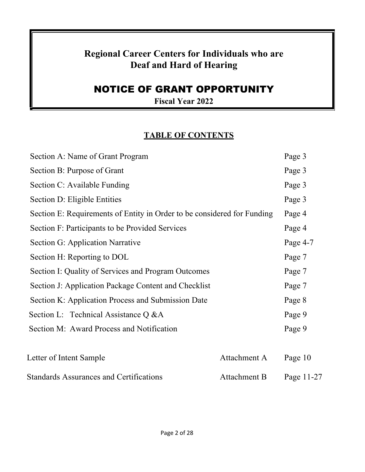## **Regional Career Centers for Individuals who are Deaf and Hard of Hearing**

## NOTICE OF GRANT OPPORTUNITY

**Fiscal Year 2022**

## **TABLE OF CONTENTS**

| Section A: Name of Grant Program                                        |              | Page 3     |
|-------------------------------------------------------------------------|--------------|------------|
| Section B: Purpose of Grant                                             |              | Page 3     |
| Section C: Available Funding                                            |              | Page 3     |
| Section D: Eligible Entities                                            |              | Page 3     |
| Section E: Requirements of Entity in Order to be considered for Funding |              | Page 4     |
| Section F: Participants to be Provided Services                         |              | Page 4     |
| Section G: Application Narrative                                        |              | Page 4-7   |
| Section H: Reporting to DOL                                             |              | Page 7     |
| Section I: Quality of Services and Program Outcomes                     |              | Page 7     |
| Section J: Application Package Content and Checklist                    |              | Page 7     |
| Section K: Application Process and Submission Date                      |              | Page 8     |
| Section L: Technical Assistance Q & A                                   |              | Page 9     |
| Section M: Award Process and Notification                               |              | Page 9     |
|                                                                         |              |            |
| Letter of Intent Sample                                                 | Attachment A | Page 10    |
| <b>Standards Assurances and Certifications</b>                          | Attachment B | Page 11-27 |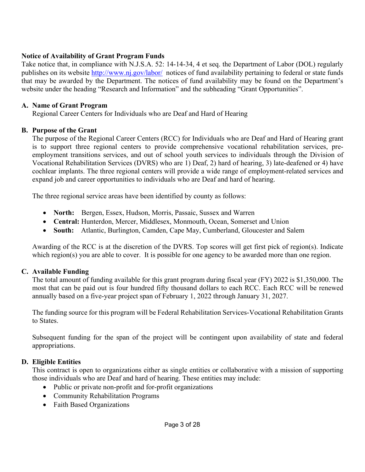## **Notice of Availability of Grant Program Funds**

Take notice that, in compliance with N.J.S.A. 52: 14-14-34, 4 et seq. the Department of Labor (DOL) regularly publishes on its website<http://www.nj.gov/labor/> notices of fund availability pertaining to federal or state funds that may be awarded by the Department. The notices of fund availability may be found on the Department's website under the heading "Research and Information" and the subheading "Grant Opportunities".

## **A. Name of Grant Program**

Regional Career Centers for Individuals who are Deaf and Hard of Hearing

## **B. Purpose of the Grant**

The purpose of the Regional Career Centers (RCC) for Individuals who are Deaf and Hard of Hearing grant is to support three regional centers to provide comprehensive vocational rehabilitation services, preemployment transitions services, and out of school youth services to individuals through the Division of Vocational Rehabilitation Services (DVRS) who are 1) Deaf, 2) hard of hearing, 3) late-deafened or 4) have cochlear implants. The three regional centers will provide a wide range of employment-related services and expand job and career opportunities to individuals who are Deaf and hard of hearing.

The three regional service areas have been identified by county as follows:

- **North:** Bergen, Essex, Hudson, Morris, Passaic, Sussex and Warren
- **Central:** Hunterdon, Mercer, Middlesex, Monmouth, Ocean, Somerset and Union
- **South:** Atlantic, Burlington, Camden, Cape May, Cumberland, Gloucester and Salem

Awarding of the RCC is at the discretion of the DVRS. Top scores will get first pick of region(s). Indicate which region(s) you are able to cover. It is possible for one agency to be awarded more than one region.

## **C. Available Funding**

The total amount of funding available for this grant program during fiscal year (FY) 2022 is \$1,350,000. The most that can be paid out is four hundred fifty thousand dollars to each RCC. Each RCC will be renewed annually based on a five-year project span of February 1, 2022 through January 31, 2027.

The funding source for this program will be Federal Rehabilitation Services-Vocational Rehabilitation Grants to States.

Subsequent funding for the span of the project will be contingent upon availability of state and federal appropriations.

## **D. Eligible Entities**

This contract is open to organizations either as single entities or collaborative with a mission of supporting those individuals who are Deaf and hard of hearing. These entities may include:

- Public or private non-profit and for-profit organizations
- Community Rehabilitation Programs
- Faith Based Organizations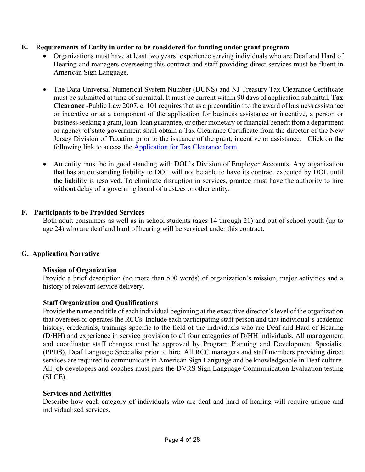## **E. Requirements of Entity in order to be considered for funding under grant program**

- Organizations must have at least two years' experience serving individuals who are Deaf and Hard of Hearing and managers overseeing this contract and staff providing direct services must be fluent in American Sign Language.
- The Data Universal Numerical System Number (DUNS) and NJ Treasury Tax Clearance Certificate must be submitted at time of submittal. It must be current within 90 days of application submittal. **Tax Clearance** -Public Law 2007, c. 101 requires that as a precondition to the award of business assistance or incentive or as a component of the application for business assistance or incentive, a person or business seeking a grant, loan, loan guarantee, or other monetary or financial benefit from a department or agency of state government shall obtain a Tax Clearance Certificate from the director of the New Jersey Division of Taxation prior to the issuance of the grant, incentive or assistance. Click on the following link to access the [Application for Tax Clearance form.](http://www.state.nj.us/treasury/taxation/pdf/busasstTaxClear.pdf)
- An entity must be in good standing with DOL's Division of Employer Accounts. Any organization that has an outstanding liability to DOL will not be able to have its contract executed by DOL until the liability is resolved. To eliminate disruption in services, grantee must have the authority to hire without delay of a governing board of trustees or other entity.

## **F. Participants to be Provided Services**

Both adult consumers as well as in school students (ages 14 through 21) and out of school youth (up to age 24) who are deaf and hard of hearing will be serviced under this contract.

## **G. Application Narrative**

### **Mission of Organization**

Provide a brief description (no more than 500 words) of organization's mission, major activities and a history of relevant service delivery.

### **Staff Organization and Qualifications**

Provide the name and title of each individual beginning at the executive director's level of the organization that oversees or operates the RCCs. Include each participating staff person and that individual's academic history, credentials, trainings specific to the field of the individuals who are Deaf and Hard of Hearing (D/HH) and experience in service provision to all four categories of D/HH individuals. All management and coordinator staff changes must be approved by Program Planning and Development Specialist (PPDS), Deaf Language Specialist prior to hire. All RCC managers and staff members providing direct services are required to communicate in American Sign Language and be knowledgeable in Deaf culture. All job developers and coaches must pass the DVRS Sign Language Communication Evaluation testing (SLCE).

### **Services and Activities**

Describe how each category of individuals who are deaf and hard of hearing will require unique and individualized services.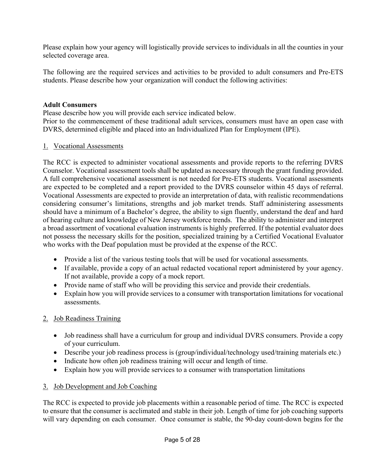Please explain how your agency will logistically provide services to individuals in all the counties in your selected coverage area.

The following are the required services and activities to be provided to adult consumers and Pre-ETS students. Please describe how your organization will conduct the following activities:

## **Adult Consumers**

Please describe how you will provide each service indicated below.

Prior to the commencement of these traditional adult services, consumers must have an open case with DVRS, determined eligible and placed into an Individualized Plan for Employment (IPE).

## 1. Vocational Assessments

The RCC is expected to administer vocational assessments and provide reports to the referring DVRS Counselor. Vocational assessment tools shall be updated as necessary through the grant funding provided. A full comprehensive vocational assessment is not needed for Pre-ETS students. Vocational assessments are expected to be completed and a report provided to the DVRS counselor within 45 days of referral. Vocational Assessments are expected to provide an interpretation of data, with realistic recommendations considering consumer's limitations, strengths and job market trends. Staff administering assessments should have a minimum of a Bachelor's degree, the ability to sign fluently, understand the deaf and hard of hearing culture and knowledge of New Jersey workforce trends. The ability to administer and interpret a broad assortment of vocational evaluation instruments is highly preferred. If the potential evaluator does not possess the necessary skills for the position, specialized training by a Certified Vocational Evaluator who works with the Deaf population must be provided at the expense of the RCC.

- Provide a list of the various testing tools that will be used for vocational assessments.
- If available, provide a copy of an actual redacted vocational report administered by your agency. If not available, provide a copy of a mock report.
- Provide name of staff who will be providing this service and provide their credentials.
- Explain how you will provide services to a consumer with transportation limitations for vocational assessments.

## 2. Job Readiness Training

- Job readiness shall have a curriculum for group and individual DVRS consumers. Provide a copy of your curriculum.
- Describe your job readiness process is (group/individual/technology used/training materials etc.)
- Indicate how often job readiness training will occur and length of time.
- Explain how you will provide services to a consumer with transportation limitations

## 3. Job Development and Job Coaching

The RCC is expected to provide job placements within a reasonable period of time. The RCC is expected to ensure that the consumer is acclimated and stable in their job. Length of time for job coaching supports will vary depending on each consumer. Once consumer is stable, the 90-day count-down begins for the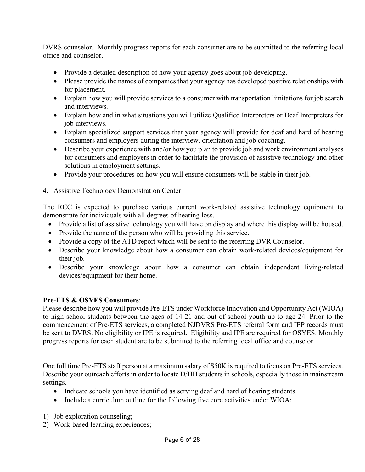DVRS counselor. Monthly progress reports for each consumer are to be submitted to the referring local office and counselor.

- Provide a detailed description of how your agency goes about job developing.
- Please provide the names of companies that your agency has developed positive relationships with for placement.
- Explain how you will provide services to a consumer with transportation limitations for job search and interviews.
- Explain how and in what situations you will utilize Qualified Interpreters or Deaf Interpreters for job interviews.
- Explain specialized support services that your agency will provide for deaf and hard of hearing consumers and employers during the interview, orientation and job coaching.
- Describe your experience with and/or how you plan to provide job and work environment analyses for consumers and employers in order to facilitate the provision of assistive technology and other solutions in employment settings.
- Provide your procedures on how you will ensure consumers will be stable in their job.

## 4. Assistive Technology Demonstration Center

The RCC is expected to purchase various current work-related assistive technology equipment to demonstrate for individuals with all degrees of hearing loss.

- Provide a list of assistive technology you will have on display and where this display will be housed.
- Provide the name of the person who will be providing this service.
- Provide a copy of the ATD report which will be sent to the referring DVR Counselor.
- Describe your knowledge about how a consumer can obtain work-related devices/equipment for their job.
- Describe your knowledge about how a consumer can obtain independent living-related devices/equipment for their home.

## **Pre-ETS & OSYES Consumers**:

Please describe how you will provide Pre-ETS under Workforce Innovation and Opportunity Act (WIOA) to high school students between the ages of 14-21 and out of school youth up to age 24. Prior to the commencement of Pre-ETS services, a completed NJDVRS Pre-ETS referral form and IEP records must be sent to DVRS. No eligibility or IPE is required. Eligibility and IPE are required for OSYES. Monthly progress reports for each student are to be submitted to the referring local office and counselor.

One full time Pre-ETS staff person at a maximum salary of \$50K is required to focus on Pre-ETS services. Describe your outreach efforts in order to locate D/HH students in schools, especially those in mainstream settings.

- Indicate schools you have identified as serving deaf and hard of hearing students.
- Include a curriculum outline for the following five core activities under WIOA:
- 1) Job exploration counseling;
- 2) Work-based learning experiences;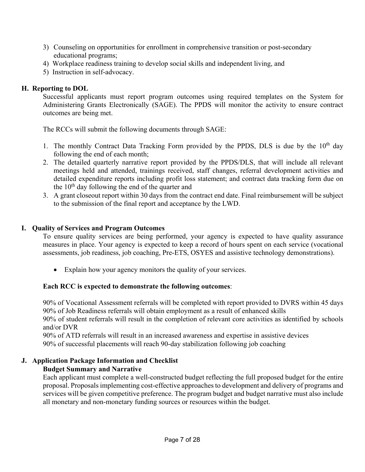- 3) Counseling on opportunities for enrollment in comprehensive transition or post-secondary educational programs;
- 4) Workplace readiness training to develop social skills and independent living, and
- 5) Instruction in self-advocacy.

## **H. Reporting to DOL**

Successful applicants must report program outcomes using required templates on the System for Administering Grants Electronically (SAGE). The PPDS will monitor the activity to ensure contract outcomes are being met.

The RCCs will submit the following documents through SAGE:

- 1. The monthly Contract Data Tracking Form provided by the PPDS, DLS is due by the  $10<sup>th</sup>$  day following the end of each month;
- 2. The detailed quarterly narrative report provided by the PPDS/DLS, that will include all relevant meetings held and attended, trainings received, staff changes, referral development activities and detailed expenditure reports including profit loss statement; and contract data tracking form due on the  $10<sup>th</sup>$  day following the end of the quarter and
- 3. A grant closeout report within 30 days from the contract end date. Final reimbursement will be subject to the submission of the final report and acceptance by the LWD.

## **I. Quality of Services and Program Outcomes**

To ensure quality services are being performed, your agency is expected to have quality assurance measures in place. Your agency is expected to keep a record of hours spent on each service (vocational assessments, job readiness, job coaching, Pre-ETS, OSYES and assistive technology demonstrations).

• Explain how your agency monitors the quality of your services.

## **Each RCC is expected to demonstrate the following outcomes**:

90% of Vocational Assessment referrals will be completed with report provided to DVRS within 45 days 90% of Job Readiness referrals will obtain employment as a result of enhanced skills

90% of student referrals will result in the completion of relevant core activities as identified by schools and/or DVR

90% of ATD referrals will result in an increased awareness and expertise in assistive devices 90% of successful placements will reach 90-day stabilization following job coaching

## **J. Application Package Information and Checklist**

## **Budget Summary and Narrative**

Each applicant must complete a well-constructed budget reflecting the full proposed budget for the entire proposal. Proposals implementing cost-effective approaches to development and delivery of programs and services will be given competitive preference. The program budget and budget narrative must also include all monetary and non-monetary funding sources or resources within the budget.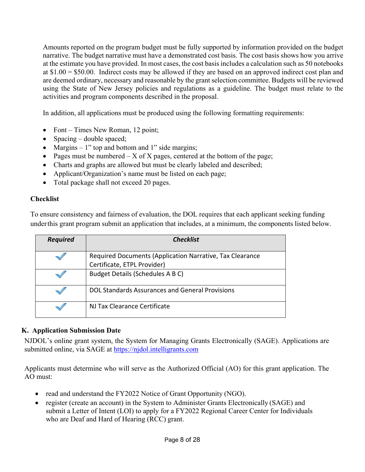Amounts reported on the program budget must be fully supported by information provided on the budget narrative. The budget narrative must have a demonstrated cost basis. The cost basis shows how you arrive at the estimate you have provided. In most cases, the cost basis includes a calculation such as 50 notebooks at \$1.00 = \$50.00. Indirect costs may be allowed if they are based on an approved indirect cost plan and are deemed ordinary, necessary and reasonable by the grant selection committee. Budgets will be reviewed using the State of New Jersey policies and regulations as a guideline. The budget must relate to the activities and program components described in the proposal.

In addition, all applications must be produced using the following formatting requirements:

- Font Times New Roman, 12 point;
- Spacing double spaced;
- Margins  $-1$ " top and bottom and 1" side margins;
- Pages must be numbered  $X$  of X pages, centered at the bottom of the page;
- Charts and graphs are allowed but must be clearly labeled and described;
- Applicant/Organization's name must be listed on each page;
- Total package shall not exceed 20 pages.

## **Checklist**

To ensure consistency and fairness of evaluation, the DOL requires that each applicant seeking funding under this grant program submit an application that includes, at a minimum, the components listed below.

| <b>Required</b> | <b>Checklist</b>                                                                        |
|-----------------|-----------------------------------------------------------------------------------------|
|                 | Required Documents (Application Narrative, Tax Clearance<br>Certificate, ETPL Provider) |
|                 | Budget Details (Schedules A B C)                                                        |
|                 | DOL Standards Assurances and General Provisions                                         |
|                 | NJ Tax Clearance Certificate                                                            |

## **K. Application Submission Date**

NJDOL's online grant system, the System for Managing Grants Electronically (SAGE). Applications are submitted online, via SAGE at [https://njdol.intelligrants.com](https://njdol.intelligrants.com/)

Applicants must determine who will serve as the Authorized Official (AO) for this grant application. The AO must:

- read and understand the FY2022 Notice of Grant Opportunity (NGO).
- register (create an account) in the System to Administer Grants Electronically (SAGE) and submit a Letter of Intent (LOI) to apply for a FY2022 Regional Career Center for Individuals who are Deaf and Hard of Hearing (RCC) grant.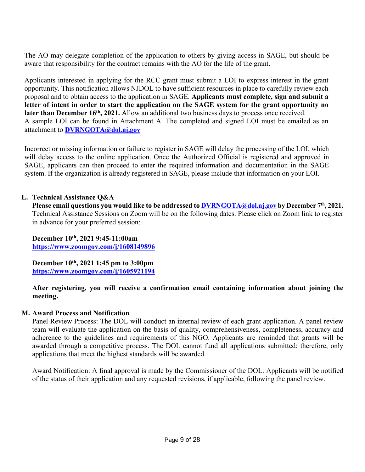The AO may delegate completion of the application to others by giving access in SAGE, but should be aware that responsibility for the contract remains with the AO for the life of the grant.

Applicants interested in applying for the RCC grant must submit a LOI to express interest in the grant opportunity. This notification allows NJDOL to have sufficient resources in place to carefully review each proposal and to obtain access to the application in SAGE. **Applicants must complete, sign and submit a letter of intent in order to start the application on the SAGE system for the grant opportunity no**  later than December 16<sup>th</sup>, 2021. Allow an additional two business days to process once received. A sample LOI can be found in Attachment A. The completed and signed LOI must be emailed as an attachment to **[DVRNGOTA@dol.nj.gov](mailto:DVRNGOTA@dol.nj.gov)**

Incorrect or missing information or failure to register in SAGE will delay the processing of the LOI, which will delay access to the online application. Once the Authorized Official is registered and approved in SAGE, applicants can then proceed to enter the required information and documentation in the SAGE system. If the organization is already registered in SAGE, please include that information on your LOI.

## **L. Technical Assistance Q&A**

**Please email questions you would like to be addressed t[o DVRNGOTA@dol.nj.gov](mailto:DVRNGOTA@dol.nj.gov) by December 7th, 2021.** Technical Assistance Sessions on Zoom will be on the following dates. Please click on Zoom link to register in advance for your preferred session:

**December 10th, 2021 9:45-11:00am <https://www.zoomgov.com/j/1608149896>**

**December 10th, 2021 1:45 pm to 3:00pm <https://www.zoomgov.com/j/1605921194>**

**After registering, you will receive a confirmation email containing information about joining the meeting.**

### **M. Award Process and Notification**

Panel Review Process: The DOL will conduct an internal review of each grant application. A panel review team will evaluate the application on the basis of quality, comprehensiveness, completeness, accuracy and adherence to the guidelines and requirements of this NGO. Applicants are reminded that grants will be awarded through a competitive process. The DOL cannot fund all applications submitted; therefore, only applications that meet the highest standards will be awarded.

Award Notification: A final approval is made by the Commissioner of the DOL. Applicants will be notified of the status of their application and any requested revisions, if applicable, following the panel review.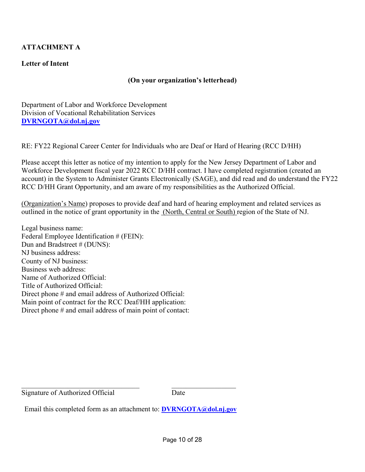## **ATTACHMENT A**

## **Letter of Intent**

### **(On your organization's letterhead)**

Department of Labor and Workforce Development Division of Vocational Rehabilitation Services **[DVRNGOTA@dol.nj.gov](mailto:DVRNGOTA@dol.nj.gov)**

RE: FY22 Regional Career Center for Individuals who are Deaf or Hard of Hearing (RCC D/HH)

Please accept this letter as notice of my intention to apply for the New Jersey Department of Labor and Workforce Development fiscal year 2022 RCC D/HH contract. I have completed registration (created an account) in the System to Administer Grants Electronically (SAGE), and did read and do understand the FY22 RCC D/HH Grant Opportunity, and am aware of my responsibilities as the Authorized Official.

(Organization's Name) proposes to provide deaf and hard of hearing employment and related services as outlined in the notice of grant opportunity in the (North, Central or South) region of the State of NJ.

Legal business name: Federal Employee Identification # (FEIN): Dun and Bradstreet # (DUNS): NJ business address: County of NJ business: Business web address: Name of Authorized Official: Title of Authorized Official: Direct phone # and email address of Authorized Official: Main point of contract for the RCC Deaf/HH application: Direct phone # and email address of main point of contact:

Signature of Authorized Official Date

Email this completed form as an attachment to: **[DVRNGOTA@dol.nj.gov](mailto:DVRNGOTA@dol.nj.gov)**

 $\mathcal{L}_\text{max}$  , and the contract of the contract of the contract of the contract of the contract of the contract of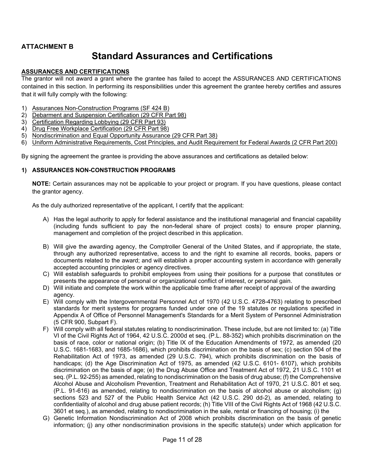## **ATTACHMENT B**

## **Standard Assurances and Certifications**

#### **ASSURANCES AND CERTIFICATIONS**

The grantor will not award a grant where the grantee has failed to accept the ASSURANCES AND CERTIFICATIONS contained in this section. In performing its responsibilities under this agreement the grantee hereby certifies and assures that it will fully comply with the following:

- 1) Assurances Non-Construction Programs (SF 424 B)
- 2) Debarment and Suspension Certification (29 CFR Part 98)
- 3) Certification Regarding Lobbying (29 CFR Part 93)
- 4) Drug Free Workplace Certification (29 CFR Part 98)
- 5) Nondiscrimination and Equal Opportunity Assurance (29 CFR Part 38)
- 6) Uniform Administrative Requirements, Cost Principles, and Audit Requirement for Federal Awards (2 CFR Part 200)

By signing the agreement the grantee is providing the above assurances and certifications as detailed below:

#### **1) ASSURANCES NON-CONSTRUCTION PROGRAMS**

**NOTE:** Certain assurances may not be applicable to your project or program. If you have questions, please contact the grantor agency.

As the duly authorized representative of the applicant, I certify that the applicant:

- A) Has the legal authority to apply for federal assistance and the institutional managerial and financial capability (including funds sufficient to pay the non-federal share of project costs) to ensure proper planning, management and completion of the project described in this application.
- B) Will give the awarding agency, the Comptroller General of the United States, and if appropriate, the state, through any authorized representative, access to and the right to examine all records, books, papers or documents related to the award; and will establish a proper accounting system in accordance with generally accepted accounting principles or agency directives.
- C) Will establish safeguards to prohibit employees from using their positions for a purpose that constitutes or presents the appearance of personal or organizational conflict of interest, or personal gain.
- D) Will initiate and complete the work within the applicable time frame after receipt of approval of the awarding agency.
- E) Will comply with the Intergovernmental Personnel Act of 1970 (42 U.S.C. 4728-4763) relating to prescribed standards for merit systems for programs funded under one of the 19 statutes or regulations specified in Appendix A of Office of Personnel Management's Standards for a Merit System of Personnel Administration (5 CFR 900, Subpart F).
- F) Will comply with all federal statutes relating to nondiscrimination. These include, but are not limited to: (a) Title VI of the Civil Rights Act of 1964, 42 U.S.C. 2000d et seq. (P.L. 88-352) which prohibits discrimination on the basis of race, color or national origin; (b) Title IX of the Education Amendments of 1972, as amended (20 U.S.C. 1681-1683, and 1685-1686), which prohibits discrimination on the basis of sex; (c) section 504 of the Rehabilitation Act of 1973, as amended (29 U.S.C. 794), which prohibits discrimination on the basis of handicaps; (d) the Age Discrimination Act of 1975, as amended (42 U.S.C. 6101- 6107), which prohibits discrimination on the basis of age; (e) the Drug Abuse Office and Treatment Act of 1972, 21 U.S.C. 1101 et seq. (P.L. 92-255) as amended, relating to nondiscrimination on the basis of drug abuse; (f) the Comprehensive Alcohol Abuse and Alcoholism Prevention, Treatment and Rehabilitation Act of 1970, 21 U.S.C. 801 et seq. (P.L. 91-616) as amended, relating to nondiscrimination on the basis of alcohol abuse or alcoholism; (g) sections 523 and 527 of the Public Health Service Act (42 U.S.C. 290 dd-2), as amended, relating to confidentiality of alcohol and drug abuse patient records; (h) Title VIII of the Civil Rights Act of 1968 (42 U.S.C. 3601 et seq.), as amended, relating to nondiscrimination in the sale, rental or financing of housing; (i) the
- G) Genetic Information Nondiscrimination Act of 2008 which prohibits discrimination on the basis of genetic information; (j) any other nondiscrimination provisions in the specific statute(s) under which application for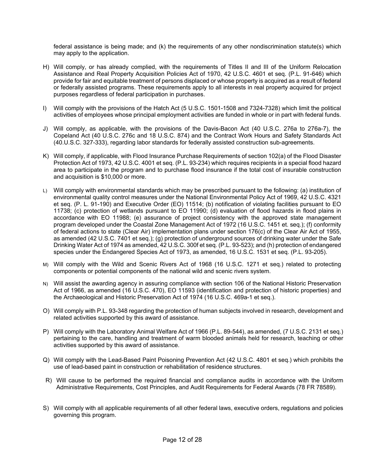federal assistance is being made; and (k) the requirements of any other nondiscrimination statute(s) which may apply to the application.

- H) Will comply, or has already complied, with the requirements of Titles II and III of the Uniform Relocation Assistance and Real Property Acquisition Policies Act of 1970, 42 U.S.C. 4601 et seq. (P.L. 91-646) which provide for fair and equitable treatment of persons displaced or whose property is acquired as a result of federal or federally assisted programs. These requirements apply to all interests in real property acquired for project purposes regardless of federal participation in purchases.
- I) Will comply with the provisions of the Hatch Act (5 U.S.C. 1501-1508 and 7324-7328) which limit the political activities of employees whose principal employment activities are funded in whole or in part with federal funds.
- J) Will comply, as applicable, with the provisions of the Davis-Bacon Act (40 U.S.C. 276a to 276a-7), the Copeland Act (40 U.S.C. 276c and 18 U.S.C. 874) and the Contract Work Hours and Safety Standards Act (40.U.S.C. 327-333), regarding labor standards for federally assisted construction sub-agreements.
- K) Will comply, if applicable, with Flood Insurance Purchase Requirements of section 102(a) of the Flood Disaster Protection Act of 1973, 42 U.S.C. 4001 et seq. (P.L. 93-234) which requires recipients in a special flood hazard area to participate in the program and to purchase flood insurance if the total cost of insurable construction and acquisition is \$10,000 or more.
- L) Will comply with environmental standards which may be prescribed pursuant to the following: (a) institution of environmental quality control measures under the National Environmental Policy Act of 1969, 42 U.S.C. 4321 et seq. (P. L. 91-190) and Executive Order (EO) 11514; (b) notification of violating facilities pursuant to EO 11738; (c) protection of wetlands pursuant to EO 11990; (d) evaluation of flood hazards in flood plains in accordance with EO 11988; (e) assurance of project consistency with the approved state management program developed under the Coastal Zone Management Act of 1972 (16 U.S.C. 1451 et. seq.); (f) conformity of federal actions to state (Clear Air) implementation plans under section 176(c) of the Clear Air Act of 1955, as amended (42 U.S.C. 7401 et seq.); (g) protection of underground sources of drinking water under the Safe Drinking Water Act of 1974 as amended, 42 U.S.C. 300f et seq. (P.L. 93-523); and (h) protection of endangered species under the Endangered Species Act of 1973, as amended, 16 U.S.C. 1531 et seq. (P.L. 93-205).
- M) Will comply with the Wild and Scenic Rivers Act of 1968 (16 U.S.C. 1271 et seq.) related to protecting components or potential components of the national wild and scenic rivers system.
- N) Will assist the awarding agency in assuring compliance with section 106 of the National Historic Preservation Act of 1966, as amended (16 U.S.C. 470), EO 11593 (identification and protection of historic properties) and the Archaeological and Historic Preservation Act of 1974 (16 U.S.C. 469a-1 et seq.).
- O) Will comply with P.L. 93-348 regarding the protection of human subjects involved in research, development and related activities supported by this award of assistance.
- P) Will comply with the Laboratory Animal Welfare Act of 1966 (P.L. 89-544), as amended, (7 U.S.C. 2131 et seq.) pertaining to the care, handling and treatment of warm blooded animals held for research, teaching or other activities supported by this award of assistance.
- Q) Will comply with the Lead-Based Paint Poisoning Prevention Act (42 U.S.C. 4801 et seq.) which prohibits the use of lead-based paint in construction or rehabilitation of residence structures.
- R) Will cause to be performed the required financial and compliance audits in accordance with the Uniform Administrative Requirements, Cost Principles, and Audit Requirements for Federal Awards (78 FR 78589).
- S) Will comply with all applicable requirements of all other federal laws, executive orders, regulations and policies governing this program.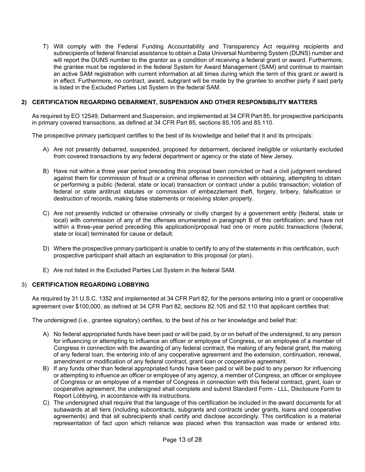T) Will comply with the Federal Funding Accountability and Transparency Act requiring recipients and subrecipients of federal financial assistance to obtain a Data Universal Numbering System (DUNS) number and will report the DUNS number to the grantor as a condition of receiving a federal grant or award. Furthermore, the grantee must be registered in the federal System for Award Management (SAM) and continue to maintain an active SAM registration with current information at all times during which the term of this grant or award is in effect. Furthermore, no contract, award, subgrant will be made by the grantee to another party if said party is listed in the Excluded Parties List System in the federal SAM.

#### **2) CERTIFICATION REGARDING DEBARMENT, SUSPENSION AND OTHER RESPONSIBILITY MATTERS**

As required by EO 12549, Debarment and Suspension, and implemented at 34 CFR Part 85, for prospective participants in primary covered transactions, as defined at 34 CFR Part 85, sections 85.105 and 85.110.

The prospective primary participant certifies to the best of its knowledge and belief that it and its principals:

- A) Are not presently debarred, suspended, proposed for debarment, declared ineligible or voluntarily excluded from covered transactions by any federal department or agency or the state of New Jersey.
- B) Have not within a three year period preceding this proposal been convicted or had a civil judgment rendered against them for commission of fraud or a criminal offense in connection with obtaining, attempting to obtain or performing a public (federal, state or local) transaction or contract under a public transaction; violation of federal or state antitrust statutes or commission of embezzlement theft, forgery, bribery, falsification or destruction of records, making false statements or receiving stolen property.
- C) Are not presently indicted or otherwise criminally or civilly charged by a government entity (federal, state or local) with commission of any of the offenses enumerated in paragraph B of this certification; and have not within a three-year period preceding this application/proposal had one or more public transactions (federal, state or local) terminated for cause or default.
- D) Where the prospective primary participant is unable to certify to any of the statements in this certification, such prospective participant shall attach an explanation to this proposal (or plan).
- E) Are not listed in the Excluded Parties List System in the federal SAM.

#### 3) **CERTIFICATION REGARDING LOBBYING**

As required by 31 U.S.C. 1352 and implemented at 34 CFR Part 82, for the persons entering into a grant or cooperative agreement over \$100,000, as defined at 34 CFR Part 82, sections 82.105 and 82.110 that applicant certifies that:

The undersigned (i.e., grantee signatory) certifies, to the best of his or her knowledge and belief that:

- A) No federal appropriated funds have been paid or will be paid, by or on behalf of the undersigned, to any person for influencing or attempting to influence an officer or employee of Congress, or an employee of a member of Congress in connection with the awarding of any federal contract, the making of any federal grant, the making of any federal loan, the entering into of any cooperative agreement and the extension, continuation, renewal, amendment or modification of any federal contract, grant loan or cooperative agreement.
- B) If any funds other than federal appropriated funds have been paid or will be paid to any person for influencing or attempting to influence an officer or employee of any agency, a member of Congress, an officer or employee of Congress or an employee of a member of Congress in connection with this federal contract, grant, loan or cooperative agreement, the undersigned shall complete and submit Standard Form - LLL, Disclosure Form to Report Lobbying, in accordance with its instructions.
- C) The undersigned shall require that the language of this certification be included in the award documents for all subawards at all tiers (including subcontracts, subgrants and contracts under grants, loans and cooperative agreements) and that all subrecipients shall certify and disclose accordingly. This certification is a material representation of fact upon which reliance was placed when this transaction was made or entered into.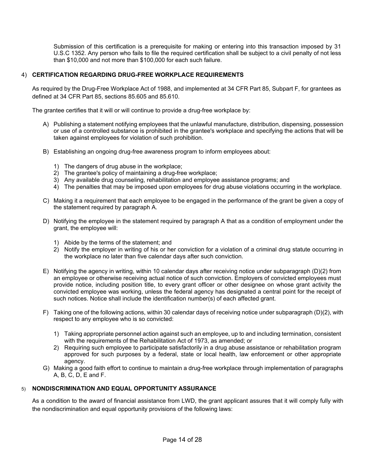Submission of this certification is a prerequisite for making or entering into this transaction imposed by 31 U.S.C 1352. Any person who fails to file the required certification shall be subject to a civil penalty of not less than \$10,000 and not more than \$100,000 for each such failure.

#### 4) **CERTIFICATION REGARDING DRUG-FREE WORKPLACE REQUIREMENTS**

As required by the Drug-Free Workplace Act of 1988, and implemented at 34 CFR Part 85, Subpart F, for grantees as defined at 34 CFR Part 85, sections 85.605 and 85.610.

The grantee certifies that it will or will continue to provide a drug-free workplace by:

- A) Publishing a statement notifying employees that the unlawful manufacture, distribution, dispensing, possession or use of a controlled substance is prohibited in the grantee's workplace and specifying the actions that will be taken against employees for violation of such prohibition.
- B) Establishing an ongoing drug-free awareness program to inform employees about:
	- 1) The dangers of drug abuse in the workplace;
	- 2) The grantee's policy of maintaining a drug-free workplace;
	- 3) Any available drug counseling, rehabilitation and employee assistance programs; and
	- 4) The penalties that may be imposed upon employees for drug abuse violations occurring in the workplace.
- C) Making it a requirement that each employee to be engaged in the performance of the grant be given a copy of the statement required by paragraph A.
- D) Notifying the employee in the statement required by paragraph A that as a condition of employment under the grant, the employee will:
	- 1) Abide by the terms of the statement; and
	- 2) Notify the employer in writing of his or her conviction for a violation of a criminal drug statute occurring in the workplace no later than five calendar days after such conviction.
- E) Notifying the agency in writing, within 10 calendar days after receiving notice under subparagraph (D)(2) from an employee or otherwise receiving actual notice of such conviction. Employers of convicted employees must provide notice, including position title, to every grant officer or other designee on whose grant activity the convicted employee was working, unless the federal agency has designated a central point for the receipt of such notices. Notice shall include the identification number(s) of each affected grant.
- F) Taking one of the following actions, within 30 calendar days of receiving notice under subparagraph (D)(2), with respect to any employee who is so convicted:
	- 1) Taking appropriate personnel action against such an employee, up to and including termination, consistent with the requirements of the Rehabilitation Act of 1973, as amended; or
	- 2) Requiring such employee to participate satisfactorily in a drug abuse assistance or rehabilitation program approved for such purposes by a federal, state or local health, law enforcement or other appropriate agency.
- G) Making a good faith effort to continue to maintain a drug-free workplace through implementation of paragraphs A, B, C, D, E and F.

#### 5) **NONDISCRIMINATION AND EQUAL OPPORTUNITY ASSURANCE**

As a condition to the award of financial assistance from LWD, the grant applicant assures that it will comply fully with the nondiscrimination and equal opportunity provisions of the following laws: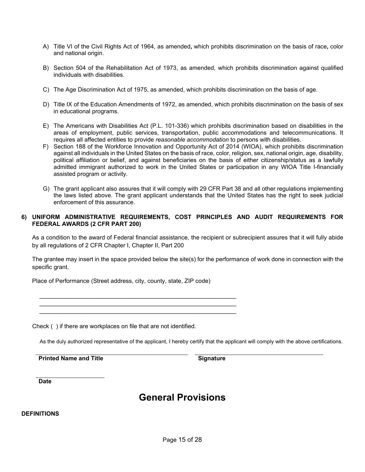- A) Title VI of the Civil Rights Act of 1964, as amended**,** which prohibits discrimination on the basis of race**,** color and national origin.
- B) Section 504 of the Rehabilitation Act of 1973, as amended, which prohibits discrimination against qualified individuals with disabilities.
- C) The Age Discrimination Act of 1975, as amended, which prohibits discrimination on the basis of age.
- D) Title IX of the Education Amendments of 1972, as amended, which prohibits discrimination on the basis of sex in educational programs.
- E) The Americans with Disabilities Act (P.L. 101-336) which prohibits discrimination based on disabilities in the areas of employment, public services, transportation, public accommodations and telecommunications. It requires all affected entities to provide *reasonable accommodation* to persons with disabilities.
- F) Section 188 of the Workforce Innovation and Opportunity Act of 2014 (WIOA), which prohibits discrimination against all individuals in the United States on the basis of race, color, religion, sex, national origin, age, disability, political affiliation or belief, and against beneficiaries on the basis of either citizenship/status as a lawfully admitted immigrant authorized to work in the United States or participation in any WIOA Title I-financially assisted program or activity.
- G) The grant applicant also assures that it will comply with 29 CFR Part 38 and all other regulations implementing the laws listed above. The grant applicant understands that the United States has the right to seek judicial enforcement of this assurance.

#### **6) UNIFORM ADMINISTRATIVE REQUIREMENTS, COST PRINCIPLES AND AUDIT REQUIREMENTS FOR FEDERAL AWARDS (2 CFR PART 200)**

As a condition to the award of Federal financial assistance, the recipient or subrecipient assures that it will fully abide by all regulations of 2 CFR Chapter I, Chapter II, Part 200

The grantee may insert in the space provided below the site(s) for the performance of work done in connection with the specific grant.

Place of Performance (Street address, city, county, state, ZIP code)

 $\frac{1}{2}$  ,  $\frac{1}{2}$  ,  $\frac{1}{2}$  ,  $\frac{1}{2}$  ,  $\frac{1}{2}$  ,  $\frac{1}{2}$  ,  $\frac{1}{2}$  ,  $\frac{1}{2}$  ,  $\frac{1}{2}$  ,  $\frac{1}{2}$  ,  $\frac{1}{2}$  ,  $\frac{1}{2}$  ,  $\frac{1}{2}$  ,  $\frac{1}{2}$  ,  $\frac{1}{2}$  ,  $\frac{1}{2}$  ,  $\frac{1}{2}$  ,  $\frac{1}{2}$  ,  $\frac{1$  $\frac{1}{2}$  ,  $\frac{1}{2}$  ,  $\frac{1}{2}$  ,  $\frac{1}{2}$  ,  $\frac{1}{2}$  ,  $\frac{1}{2}$  ,  $\frac{1}{2}$  ,  $\frac{1}{2}$  ,  $\frac{1}{2}$  ,  $\frac{1}{2}$  ,  $\frac{1}{2}$  ,  $\frac{1}{2}$  ,  $\frac{1}{2}$  ,  $\frac{1}{2}$  ,  $\frac{1}{2}$  ,  $\frac{1}{2}$  ,  $\frac{1}{2}$  ,  $\frac{1}{2}$  ,  $\frac{1$  $\mathcal{L}=\underbrace{\mathcal{L}=\mathcal{L}=\mathcal{L}=\mathcal{L}=\mathcal{L}=\mathcal{L}=\mathcal{L}=\mathcal{L}=\mathcal{L}=\mathcal{L}=\mathcal{L}=\mathcal{L}=\mathcal{L}=\mathcal{L}=\mathcal{L}=\mathcal{L}=\mathcal{L}=\mathcal{L}=\mathcal{L}=\mathcal{L}=\mathcal{L}=\mathcal{L}=\mathcal{L}=\mathcal{L}=\mathcal{L}=\mathcal{L}=\mathcal{L}=\mathcal{L}=\mathcal{L}=\mathcal{L}=\mathcal{L}=\mathcal{L}=\mathcal{L}=\mathcal{L}=\mathcal{L}=\$ 

Check ( ) if there are workplaces on file that are not identified.

As the duly authorized representative of the applicant, I hereby certify that the applicant will comply with the above certifications.

**Printed Name and Title Signature Signature** 

**Date**

## **General Provisions**

#### **DEFINITIONS**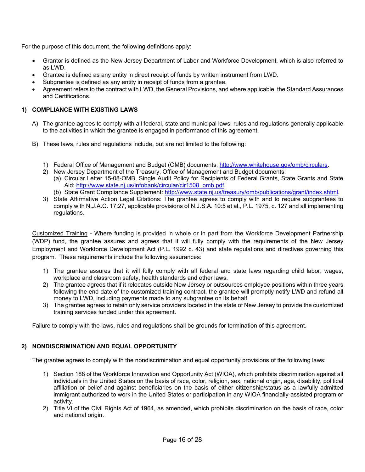For the purpose of this document, the following definitions apply:

- Grantor is defined as the New Jersey Department of Labor and Workforce Development, which is also referred to as LWD.
- Grantee is defined as any entity in direct receipt of funds by written instrument from LWD.
- Subgrantee is defined as any entity in receipt of funds from a grantee.
- Agreement refers to the contract with LWD, the General Provisions, and where applicable, the Standard Assurances and Certifications.

#### **1) COMPLIANCE WITH EXISTING LAWS**

- A) The grantee agrees to comply with all federal, state and municipal laws, rules and regulations generally applicable to the activities in which the grantee is engaged in performance of this agreement.
- B) These laws, rules and regulations include, but are not limited to the following:
	- 1) Federal Office of Management and Budget (OMB) documents: [http://www.whitehouse.gov/omb/circulars.](http://www.whitehouse.gov/omb/circulars)
	- 2) New Jersey Department of the Treasury, Office of Management and Budget documents:
		- (a) Circular Letter 15-08-OMB, Single Audit Policy for Recipients of Federal Grants, State Grants and State Aid: [http://www.state.nj.us/infobank/circular/cir1508\\_omb.pdf.](http://www.state.nj.us/infobank/circular/cir1508_omb.pdf)
		- (b) State Grant Compliance Supplement: [http://www.state.nj.us/treasury/omb/publications/grant/index.shtml.](http://www.state.nj.us/treasury/omb/publications/grant/index.shtml)
	- 3) State Affirmative Action Legal Citations: The grantee agrees to comply with and to require subgrantees to comply with N.J.A.C. 17:27, applicable provisions of N.J.S.A. 10:5 et al., P.L. 1975, c. 127 and all implementing regulations.

Customized Training - Where funding is provided in whole or in part from the Workforce Development Partnership (WDP) fund, the grantee assures and agrees that it will fully comply with the requirements of the New Jersey Employment and Workforce Development Act (P.L. 1992 c. 43) and state regulations and directives governing this program. These requirements include the following assurances:

- 1) The grantee assures that it will fully comply with all federal and state laws regarding child labor, wages, workplace and classroom safety, health standards and other laws.
- 2) The grantee agrees that if it relocates outside New Jersey or outsources employee positions within three years following the end date of the customized training contract, the grantee will promptly notify LWD and refund all money to LWD, including payments made to any subgrantee on its behalf.
- 3) The grantee agrees to retain only service providers located in the state of New Jersey to provide the customized training services funded under this agreement.

Failure to comply with the laws, rules and regulations shall be grounds for termination of this agreement.

#### **2) NONDISCRIMINATION AND EQUAL OPPORTUNITY**

The grantee agrees to comply with the nondiscrimination and equal opportunity provisions of the following laws:

- 1) Section 188 of the Workforce Innovation and Opportunity Act (WIOA), which prohibits discrimination against all individuals in the United States on the basis of race, color, religion, sex, national origin, age, disability, political affiliation or belief and against beneficiaries on the basis of either citizenship/status as a lawfully admitted immigrant authorized to work in the United States or participation in any WIOA financially-assisted program or activity.
- 2) Title VI of the Civil Rights Act of 1964, as amended, which prohibits discrimination on the basis of race, color and national origin.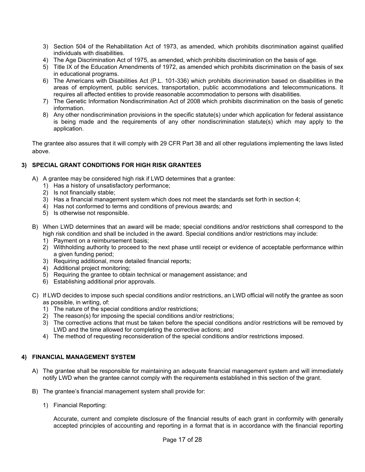- 3) Section 504 of the Rehabilitation Act of 1973, as amended, which prohibits discrimination against qualified individuals with disabilities.
- 4) The Age Discrimination Act of 1975, as amended, which prohibits discrimination on the basis of age.
- 5) Title IX of the Education Amendments of 1972, as amended which prohibits discrimination on the basis of sex in educational programs.
- 6) The Americans with Disabilities Act (P.L. 101-336) which prohibits discrimination based on disabilities in the areas of employment, public services, transportation, public accommodations and telecommunications. It requires all affected entities to provide reasonable accommodation to persons with disabilities.
- 7) The Genetic Information Nondiscrimination Act of 2008 which prohibits discrimination on the basis of genetic information.
- 8) Any other nondiscrimination provisions in the specific statute(s) under which application for federal assistance is being made and the requirements of any other nondiscrimination statute(s) which may apply to the application.

The grantee also assures that it will comply with 29 CFR Part 38 and all other regulations implementing the laws listed above.

#### **3) SPECIAL GRANT CONDITIONS FOR HIGH RISK GRANTEES**

- A) A grantee may be considered high risk if LWD determines that a grantee:
	- 1) Has a history of unsatisfactory performance;
	- 2) Is not financially stable;
	- 3) Has a financial management system which does not meet the standards set forth in section 4;
	- 4) Has not conformed to terms and conditions of previous awards; and
	- 5) Is otherwise not responsible.
- B) When LWD determines that an award will be made; special conditions and/or restrictions shall correspond to the high risk condition and shall be included in the award. Special conditions and/or restrictions may include:
	- 1) Payment on a reimbursement basis;
	- 2) Withholding authority to proceed to the next phase until receipt or evidence of acceptable performance within a given funding period;
	- 3) Requiring additional, more detailed financial reports;
	- 4) Additional project monitoring;
	- 5) Requiring the grantee to obtain technical or management assistance; and
	- 6) Establishing additional prior approvals.
- C) If LWD decides to impose such special conditions and/or restrictions, an LWD official will notify the grantee as soon as possible, in writing, of:
	- 1) The nature of the special conditions and/or restrictions;
	- 2) The reason(s) for imposing the special conditions and/or restrictions;
	- 3) The corrective actions that must be taken before the special conditions and/or restrictions will be removed by LWD and the time allowed for completing the corrective actions; and
	- 4) The method of requesting reconsideration of the special conditions and/or restrictions imposed.

#### **4) FINANCIAL MANAGEMENT SYSTEM**

- A) The grantee shall be responsible for maintaining an adequate financial management system and will immediately notify LWD when the grantee cannot comply with the requirements established in this section of the grant.
- B) The grantee's financial management system shall provide for:
	- 1) Financial Reporting:

Accurate, current and complete disclosure of the financial results of each grant in conformity with generally accepted principles of accounting and reporting in a format that is in accordance with the financial reporting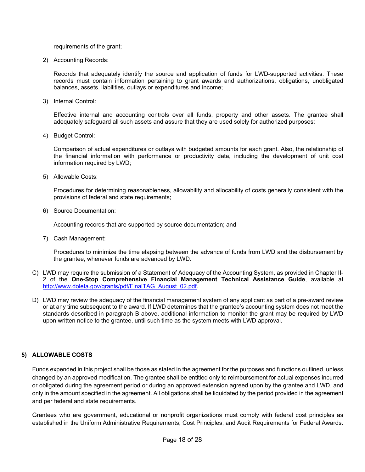requirements of the grant;

2) Accounting Records:

Records that adequately identify the source and application of funds for LWD-supported activities. These records must contain information pertaining to grant awards and authorizations, obligations, unobligated balances, assets, liabilities, outlays or expenditures and income;

3) Internal Control:

Effective internal and accounting controls over all funds, property and other assets. The grantee shall adequately safeguard all such assets and assure that they are used solely for authorized purposes;

4) Budget Control:

Comparison of actual expenditures or outlays with budgeted amounts for each grant. Also, the relationship of the financial information with performance or productivity data, including the development of unit cost information required by LWD;

5) Allowable Costs:

Procedures for determining reasonableness, allowability and allocability of costs generally consistent with the provisions of federal and state requirements;

6) Source Documentation:

Accounting records that are supported by source documentation; and

7) Cash Management:

Procedures to minimize the time elapsing between the advance of funds from LWD and the disbursement by the grantee, whenever funds are advanced by LWD.

- C) LWD may require the submission of a Statement of Adequacy of the Accounting System, as provided in Chapter II-2 of the **One-Stop Comprehensive Financial Management Technical Assistance Guide**, available at [http://www.doleta.gov/grants/pdf/FinalTAG\\_August\\_02.pdf.](http://www.doleta.gov/grants/pdf/FinalTAG_August_02.pdf)
- D) LWD may review the adequacy of the financial management system of any applicant as part of a pre-award review or at any time subsequent to the award. If LWD determines that the grantee's accounting system does not meet the standards described in paragraph B above, additional information to monitor the grant may be required by LWD upon written notice to the grantee, until such time as the system meets with LWD approval.

#### **5) ALLOWABLE COSTS**

Funds expended in this project shall be those as stated in the agreement for the purposes and functions outlined, unless changed by an approved modification. The grantee shall be entitled only to reimbursement for actual expenses incurred or obligated during the agreement period or during an approved extension agreed upon by the grantee and LWD, and only in the amount specified in the agreement. All obligations shall be liquidated by the period provided in the agreement and per federal and state requirements.

Grantees who are government, educational or nonprofit organizations must comply with federal cost principles as established in the Uniform Administrative Requirements, Cost Principles, and Audit Requirements for Federal Awards.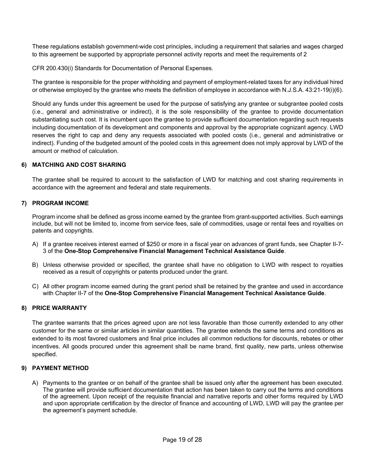These regulations establish government-wide cost principles, including a requirement that salaries and wages charged to this agreement be supported by appropriate personnel activity reports and meet the requirements of 2

CFR 200.430(i) Standards for Documentation of Personal Expenses.

The grantee is responsible for the proper withholding and payment of employment-related taxes for any individual hired or otherwise employed by the grantee who meets the definition of employee in accordance with N.J.S.A. 43:21-19(i)(6).

Should any funds under this agreement be used for the purpose of satisfying any grantee or subgrantee pooled costs (i.e., general and administrative or indirect), it is the sole responsibility of the grantee to provide documentation substantiating such cost. It is incumbent upon the grantee to provide sufficient documentation regarding such requests including documentation of its development and components and approval by the appropriate cognizant agency. LWD reserves the right to cap and deny any requests associated with pooled costs (i.e., general and administrative or indirect). Funding of the budgeted amount of the pooled costs in this agreement does not imply approval by LWD of the amount or method of calculation.

#### **6) MATCHING AND COST SHARING**

The grantee shall be required to account to the satisfaction of LWD for matching and cost sharing requirements in accordance with the agreement and federal and state requirements.

#### **7) PROGRAM INCOME**

Program income shall be defined as gross income earned by the grantee from grant-supported activities. Such earnings include, but will not be limited to, income from service fees, sale of commodities, usage or rental fees and royalties on patents and copyrights.

- A) If a grantee receives interest earned of \$250 or more in a fiscal year on advances of grant funds, see Chapter II-7- 3 of the **One-Stop Comprehensive Financial Management Technical Assistance Guide**.
- B) Unless otherwise provided or specified, the grantee shall have no obligation to LWD with respect to royalties received as a result of copyrights or patents produced under the grant.
- C) All other program income earned during the grant period shall be retained by the grantee and used in accordance with Chapter II-7 of the **One-Stop Comprehensive Financial Management Technical Assistance Guide**.

#### **8) PRICE WARRANTY**

The grantee warrants that the prices agreed upon are not less favorable than those currently extended to any other customer for the same or similar articles in similar quantities. The grantee extends the same terms and conditions as extended to its most favored customers and final price includes all common reductions for discounts, rebates or other incentives. All goods procured under this agreement shall be name brand, first quality, new parts, unless otherwise specified.

#### **9) PAYMENT METHOD**

A) Payments to the grantee or on behalf of the grantee shall be issued only after the agreement has been executed. The grantee will provide sufficient documentation that action has been taken to carry out the terms and conditions of the agreement. Upon receipt of the requisite financial and narrative reports and other forms required by LWD and upon appropriate certification by the director of finance and accounting of LWD, LWD will pay the grantee per the agreement's payment schedule.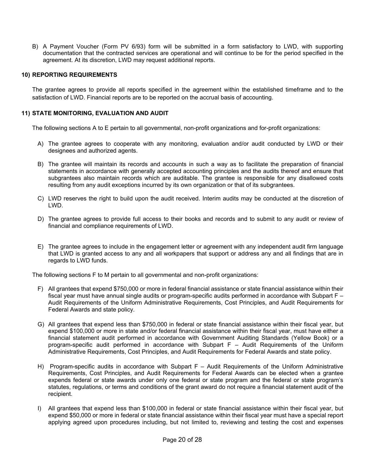B) A Payment Voucher (Form PV 6/93) form will be submitted in a form satisfactory to LWD, with supporting documentation that the contracted services are operational and will continue to be for the period specified in the agreement. At its discretion, LWD may request additional reports.

#### **10) REPORTING REQUIREMENTS**

The grantee agrees to provide all reports specified in the agreement within the established timeframe and to the satisfaction of LWD. Financial reports are to be reported on the accrual basis of accounting.

#### **11) STATE MONITORING, EVALUATION AND AUDIT**

The following sections A to E pertain to all governmental, non-profit organizations and for-profit organizations:

- A) The grantee agrees to cooperate with any monitoring, evaluation and/or audit conducted by LWD or their designees and authorized agents.
- B) The grantee will maintain its records and accounts in such a way as to facilitate the preparation of financial statements in accordance with generally accepted accounting principles and the audits thereof and ensure that subgrantees also maintain records which are auditable. The grantee is responsible for any disallowed costs resulting from any audit exceptions incurred by its own organization or that of its subgrantees.
- C) LWD reserves the right to build upon the audit received. Interim audits may be conducted at the discretion of LWD.
- D) The grantee agrees to provide full access to their books and records and to submit to any audit or review of financial and compliance requirements of LWD.
- E) The grantee agrees to include in the engagement letter or agreement with any independent audit firm language that LWD is granted access to any and all workpapers that support or address any and all findings that are in regards to LWD funds.

The following sections F to M pertain to all governmental and non-profit organizations:

- F) All grantees that expend \$750,000 or more in federal financial assistance or state financial assistance within their fiscal year must have annual single audits or program-specific audits performed in accordance with Subpart F – Audit Requirements of the Uniform Administrative Requirements, Cost Principles, and Audit Requirements for Federal Awards and state policy.
- G) All grantees that expend less than \$750,000 in federal or state financial assistance within their fiscal year, but expend \$100,000 or more in state and/or federal financial assistance within their fiscal year, must have either a financial statement audit performed in accordance with Government Auditing Standards (Yellow Book) or a program-specific audit performed in accordance with Subpart F – Audit Requirements of the Uniform Administrative Requirements, Cost Principles, and Audit Requirements for Federal Awards and state policy.
- H) Program-specific audits in accordance with Subpart F Audit Requirements of the Uniform Administrative Requirements, Cost Principles, and Audit Requirements for Federal Awards can be elected when a grantee expends federal or state awards under only one federal or state program and the federal or state program's statutes, regulations, or terms and conditions of the grant award do not require a financial statement audit of the recipient.
- I) All grantees that expend less than \$100,000 in federal or state financial assistance within their fiscal year, but expend \$50,000 or more in federal or state financial assistance within their fiscal year must have a special report applying agreed upon procedures including, but not limited to, reviewing and testing the cost and expenses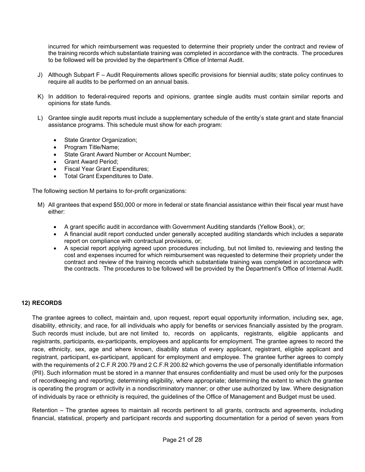incurred for which reimbursement was requested to determine their propriety under the contract and review of the training records which substantiate training was completed in accordance with the contracts. The procedures to be followed will be provided by the department's Office of Internal Audit.

- J) Although Subpart F Audit Requirements allows specific provisions for biennial audits; state policy continues to require all audits to be performed on an annual basis.
- K) In addition to federal-required reports and opinions, grantee single audits must contain similar reports and opinions for state funds.
- L) Grantee single audit reports must include a supplementary schedule of the entity's state grant and state financial assistance programs. This schedule must show for each program:
	- State Grantor Organization;
	- Program Title/Name;
	- State Grant Award Number or Account Number;
	- Grant Award Period;
	- Fiscal Year Grant Expenditures;
	- Total Grant Expenditures to Date.

The following section M pertains to for-profit organizations:

- M) All grantees that expend \$50,000 or more in federal or state financial assistance within their fiscal year must have either:
	- A grant specific audit in accordance with Government Auditing standards (Yellow Book), or;
	- A financial audit report conducted under generally accepted auditing standards which includes a separate report on compliance with contractual provisions, or;
	- A special report applying agreed upon procedures including, but not limited to, reviewing and testing the cost and expenses incurred for which reimbursement was requested to determine their propriety under the contract and review of the training records which substantiate training was completed in accordance with the contracts. The procedures to be followed will be provided by the Department's Office of Internal Audit.

#### **12) RECORDS**

The grantee agrees to collect, maintain and, upon request, report equal opportunity information, including sex, age, disability, ethnicity, and race, for all individuals who apply for benefits or services financially assisted by the program. Such records must include, but are not limited to, records on applicants, registrants, eligible applicants and registrants, participants, ex-participants, employees and applicants for employment. The grantee agrees to record the race, ethnicity, sex, age and where known, disability status of every applicant, registrant, eligible applicant and registrant, participant, ex-participant, applicant for employment and employee. The grantee further agrees to comply with the requirements of 2 C.F.R 200.79 and 2 C.F.R 200.82 which governs the use of personally identifiable information (PII). Such information must be stored in a manner that ensures confidentiality and must be used only for the purposes of recordkeeping and reporting; determining eligibility, where appropriate; determining the extent to which the grantee is operating the program or activity in a nondiscriminatory manner; or other use authorized by law. Where designation of individuals by race or ethnicity is required, the guidelines of the Office of Management and Budget must be used.

Retention – The grantee agrees to maintain all records pertinent to all grants, contracts and agreements, including financial, statistical, property and participant records and supporting documentation for a period of seven years from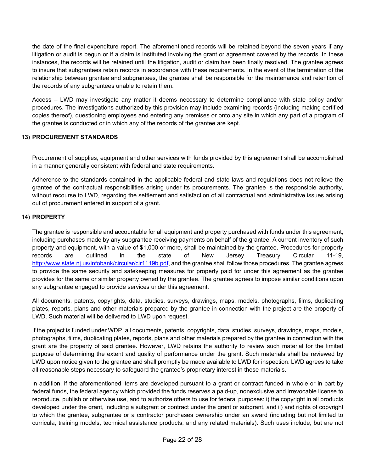the date of the final expenditure report. The aforementioned records will be retained beyond the seven years if any litigation or audit is begun or if a claim is instituted involving the grant or agreement covered by the records. In these instances, the records will be retained until the litigation, audit or claim has been finally resolved. The grantee agrees to insure that subgrantees retain records in accordance with these requirements. In the event of the termination of the relationship between grantee and subgrantees, the grantee shall be responsible for the maintenance and retention of the records of any subgrantees unable to retain them.

Access – LWD may investigate any matter it deems necessary to determine compliance with state policy and/or procedures. The investigations authorized by this provision may include examining records (including making certified copies thereof), questioning employees and entering any premises or onto any site in which any part of a program of the grantee is conducted or in which any of the records of the grantee are kept.

#### **13) PROCUREMENT STANDARDS**

Procurement of supplies, equipment and other services with funds provided by this agreement shall be accomplished in a manner generally consistent with federal and state requirements.

Adherence to the standards contained in the applicable federal and state laws and regulations does not relieve the grantee of the contractual responsibilities arising under its procurements. The grantee is the responsible authority, without recourse to LWD, regarding the settlement and satisfaction of all contractual and administrative issues arising out of procurement entered in support of a grant.

#### **14) PROPERTY**

The grantee is responsible and accountable for all equipment and property purchased with funds under this agreement, including purchases made by any subgrantee receiving payments on behalf of the grantee. A current inventory of such property and equipment, with a value of \$1,000 or more, shall be maintained by the grantee. Procedures for property records are outlined in the state of New Jersey Treasury Circular 11-19, [http://www.state.nj.us/infobank/circular/cir1119b.pdf,](http://www.state.nj.us/infobank/circular/cir1119b.pdf) and the grantee shall follow those procedures. The grantee agrees to provide the same security and safekeeping measures for property paid for under this agreement as the grantee provides for the same or similar property owned by the grantee. The grantee agrees to impose similar conditions upon any subgrantee engaged to provide services under this agreement.

All documents, patents, copyrights, data, studies, surveys, drawings, maps, models, photographs, films, duplicating plates, reports, plans and other materials prepared by the grantee in connection with the project are the property of LWD. Such material will be delivered to LWD upon request.

If the project is funded under WDP, all documents, patents, copyrights, data, studies, surveys, drawings, maps, models, photographs, films, duplicating plates, reports, plans and other materials prepared by the grantee in connection with the grant are the property of said grantee. However, LWD retains the authority to review such material for the limited purpose of determining the extent and quality of performance under the grant. Such materials shall be reviewed by LWD upon notice given to the grantee and shall promptly be made available to LWD for inspection. LWD agrees to take all reasonable steps necessary to safeguard the grantee's proprietary interest in these materials.

In addition, if the aforementioned items are developed pursuant to a grant or contract funded in whole or in part by federal funds, the federal agency which provided the funds reserves a paid-up, nonexclusive and irrevocable license to reproduce, publish or otherwise use, and to authorize others to use for federal purposes: i) the copyright in all products developed under the grant, including a subgrant or contract under the grant or subgrant, and ii) and rights of copyright to which the grantee, subgrantee or a contractor purchases ownership under an award (including but not limited to curricula, training models, technical assistance products, and any related materials). Such uses include, but are not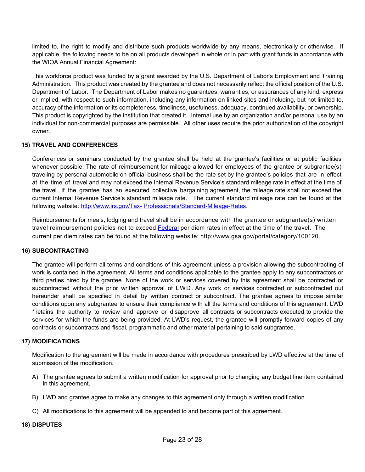limited to, the right to modify and distribute such products worldwide by any means, electronically or otherwise. If applicable, the following needs to be on all products developed in whole or in part with grant funds in accordance with the WIOA Annual Financial Agreement:

This workforce product was funded by a grant awarded by the U.S. Department of Labor's Employment and Training Administration. This product was created by the grantee and does not necessarily reflect the official position of the U.S. Department of Labor. The Department of Labor makes no guarantees, warranties, or assurances of any kind, express or implied, with respect to such information, including any information on linked sites and including, but not limited to, accuracy of the information or its completeness, timeliness, usefulness, adequacy, continued availability, or ownership. This product is copyrighted by the institution that created it. Internal use by an organization and/or personal use by an individual for non-commercial purposes are permissible. All other uses require the prior authorization of the copyright owner.

#### **15) TRAVEL AND CONFERENCES**

Conferences or seminars conducted by the grantee shall be held at the grantee's facilities or at public facilities whenever possible. The rate of reimbursement for mileage allowed for employees of the grantee or subgrantee(s) traveling by personal automobile on official business shall be the rate set by the grantee's policies that are in effect at the time of travel and may not exceed the Internal Revenue Service's standard mileage rate in effect at the time of the travel. If the grantee has an executed collective bargaining agreement, the mileage rate shall not exceed the current Internal Revenue Service's standard mileage rate. The current standard mileage rate can be found at the following website: [http://www.irs.gov/Tax-](http://www.irs.gov/Tax-Professionals/Standard-Mileage-Rates) [Professionals/Standard-Mileage-Rates.](http://www.irs.gov/Tax-Professionals/Standard-Mileage-Rates)

Reimbursements for meals, lodging and travel shall be in accordance with the grantee or subgrantee(s) written travel reimbursement policies not to exceed [Federal](file://sangate/OSCS_Share/Contracting%20Unit/Work%20Files/labcala/AppData/Local/Microsoft/Windows/Temporary%20Internet%20Files/Content.Outlook/NXMJTENO/Federal) per diem rates in effect at the time of the travel. The current per diem rates can be found at the following website: http://www.gsa.gov/portal/category/100120.

#### **16) SUBCONTRACTING**

The grantee will perform all terms and conditions of this agreement unless a provision allowing the subcontracting of work is contained in the agreement. All terms and conditions applicable to the grantee apply to any subcontractors or third parties hired by the grantee. None of the work or services covered by this agreement shall be contracted or subcontracted without the prior written approval of LWD. Any work or services contracted or subcontracted out hereunder shall be specified in detail by written contract or subcontract. The grantee agrees to impose similar conditions upon any subgrantee to ensure their compliance with all the terms and conditions of this agreement. LWD \*retains the authority to review and approve or disapprove all contracts or subcontracts executed to provide the services for which the funds are being provided. At LWD's request, the grantee will promptly forward copies of any contracts or subcontracts and fiscal, programmatic and other material pertaining to said subgrantee.

#### **17) MODIFICATIONS**

Modification to the agreement will be made in accordance with procedures prescribed by LWD effective at the time of submission of the modification.

- A) The grantee agrees to submit a written modification for approval prior to changing any budget line item contained in this agreement.
- B) LWD and grantee agree to make any changes to this agreement only through a written modification
- C) All modifications to this agreement will be appended to and become part of this agreement.

#### **18) DISPUTES**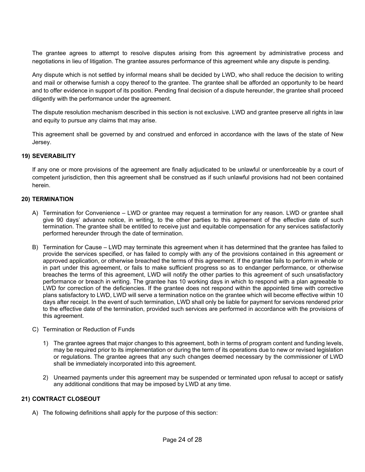The grantee agrees to attempt to resolve disputes arising from this agreement by administrative process and negotiations in lieu of litigation. The grantee assures performance of this agreement while any dispute is pending.

Any dispute which is not settled by informal means shall be decided by LWD, who shall reduce the decision to writing and mail or otherwise furnish a copy thereof to the grantee. The grantee shall be afforded an opportunity to be heard and to offer evidence in support of its position. Pending final decision of a dispute hereunder, the grantee shall proceed diligently with the performance under the agreement.

The dispute resolution mechanism described in this section is not exclusive. LWD and grantee preserve all rights in law and equity to pursue any claims that may arise.

This agreement shall be governed by and construed and enforced in accordance with the laws of the state of New Jersey.

#### **19) SEVERABILITY**

If any one or more provisions of the agreement are finally adjudicated to be unlawful or unenforceable by a court of competent jurisdiction, then this agreement shall be construed as if such unlawful provisions had not been contained herein.

#### **20) TERMINATION**

- A) Termination for Convenience LWD or grantee may request a termination for any reason. LWD or grantee shall give 90 days' advance notice, in writing, to the other parties to this agreement of the effective date of such termination. The grantee shall be entitled to receive just and equitable compensation for any services satisfactorily performed hereunder through the date of termination.
- B) Termination for Cause LWD may terminate this agreement when it has determined that the grantee has failed to provide the services specified, or has failed to comply with any of the provisions contained in this agreement or approved application, or otherwise breached the terms of this agreement. If the grantee fails to perform in whole or in part under this agreement, or fails to make sufficient progress so as to endanger performance, or otherwise breaches the terms of this agreement, LWD will notify the other parties to this agreement of such unsatisfactory performance or breach in writing. The grantee has 10 working days in which to respond with a plan agreeable to LWD for correction of the deficiencies. If the grantee does not respond within the appointed time with corrective plans satisfactory to LWD, LWD will serve a termination notice on the grantee which will become effective within 10 days after receipt. In the event of such termination, LWD shall only be liable for payment for services rendered prior to the effective date of the termination, provided such services are performed in accordance with the provisions of this agreement.
- C) Termination or Reduction of Funds
	- 1) The grantee agrees that major changes to this agreement, both in terms of program content and funding levels, may be required prior to its implementation or during the term of its operations due to new or revised legislation or regulations. The grantee agrees that any such changes deemed necessary by the commissioner of LWD shall be immediately incorporated into this agreement.
	- 2) Unearned payments under this agreement may be suspended or terminated upon refusal to accept or satisfy any additional conditions that may be imposed by LWD at any time.

#### **21) CONTRACT CLOSEOUT**

A) The following definitions shall apply for the purpose of this section: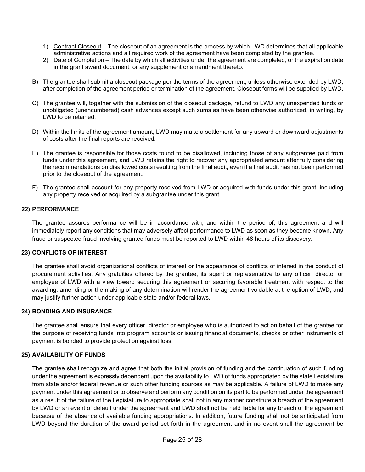- 1) Contract Closeout The closeout of an agreement is the process by which LWD determines that all applicable administrative actions and all required work of the agreement have been completed by the grantee.
- 2) Date of Completion The date by which all activities under the agreement are completed, or the expiration date in the grant award document, or any supplement or amendment thereto.
- B) The grantee shall submit a closeout package per the terms of the agreement, unless otherwise extended by LWD, after completion of the agreement period or termination of the agreement. Closeout forms will be supplied by LWD.
- C) The grantee will, together with the submission of the closeout package, refund to LWD any unexpended funds or unobligated (unencumbered) cash advances except such sums as have been otherwise authorized, in writing, by LWD to be retained.
- D) Within the limits of the agreement amount, LWD may make a settlement for any upward or downward adjustments of costs after the final reports are received.
- E) The grantee is responsible for those costs found to be disallowed, including those of any subgrantee paid from funds under this agreement, and LWD retains the right to recover any appropriated amount after fully considering the recommendations on disallowed costs resulting from the final audit, even if a final audit has not been performed prior to the closeout of the agreement.
- F) The grantee shall account for any property received from LWD or acquired with funds under this grant, including any property received or acquired by a subgrantee under this grant.

#### **22) PERFORMANCE**

The grantee assures performance will be in accordance with, and within the period of, this agreement and will immediately report any conditions that may adversely affect performance to LWD as soon as they become known. Any fraud or suspected fraud involving granted funds must be reported to LWD within 48 hours of its discovery.

#### **23) CONFLICTS OF INTEREST**

The grantee shall avoid organizational conflicts of interest or the appearance of conflicts of interest in the conduct of procurement activities. Any gratuities offered by the grantee, its agent or representative to any officer, director or employee of LWD with a view toward securing this agreement or securing favorable treatment with respect to the awarding, amending or the making of any determination will render the agreement voidable at the option of LWD, and may justify further action under applicable state and/or federal laws.

#### **24) BONDING AND INSURANCE**

The grantee shall ensure that every officer, director or employee who is authorized to act on behalf of the grantee for the purpose of receiving funds into program accounts or issuing financial documents, checks or other instruments of payment is bonded to provide protection against loss.

#### **25) AVAILABILITY OF FUNDS**

The grantee shall recognize and agree that both the initial provision of funding and the continuation of such funding under the agreement is expressly dependent upon the availability to LWD of funds appropriated by the state Legislature from state and/or federal revenue or such other funding sources as may be applicable. A failure of LWD to make any payment under this agreement or to observe and perform any condition on its part to be performed under the agreement as a result of the failure of the Legislature to appropriate shall not in any manner constitute a breach of the agreement by LWD or an event of default under the agreement and LWD shall not be held liable for any breach of the agreement because of the absence of available funding appropriations. In addition, future funding shall not be anticipated from LWD beyond the duration of the award period set forth in the agreement and in no event shall the agreement be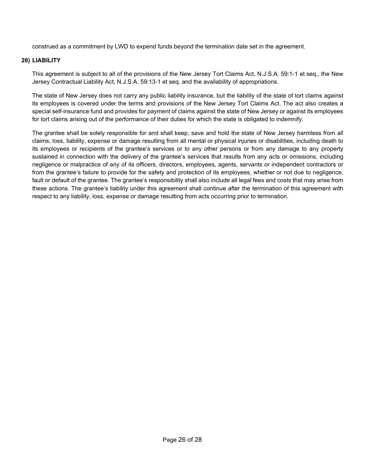construed as a commitment by LWD to expend funds beyond the termination date set in the agreement.

#### **26) LIABILITY**

This agreement is subject to all of the provisions of the New Jersey Tort Claims Act, N.J.S.A. 59:1-1 et seq., the New Jersey Contractual Liability Act, N.J.S.A. 59:13-1 et seq. and the availability of appropriations.

The state of New Jersey does not carry any public liability insurance, but the liability of the state of tort claims against its employees is covered under the terms and provisions of the New Jersey Tort Claims Act. The act also creates a special self-insurance fund and provides for payment of claims against the state of New Jersey or against its employees for tort claims arising out of the performance of their duties for which the state is obligated to indemnify.

The grantee shall be solely responsible for and shall keep, save and hold the state of New Jersey harmless from all claims, loss, liability, expense or damage resulting from all mental or physical injuries or disabilities, including death to its employees or recipients of the grantee's services or to any other persons or from any damage to any property sustained in connection with the delivery of the grantee's services that results from any acts or omissions, including negligence or malpractice of any of its officers, directors, employees, agents, servants or independent contractors or from the grantee's failure to provide for the safety and protection of its employees, whether or not due to negligence, fault or default of the grantee. The grantee's responsibility shall also include all legal fees and costs that may arise from these actions. The grantee's liability under this agreement shall continue after the termination of this agreement with respect to any liability, loss, expense or damage resulting from acts occurring prior to termination.